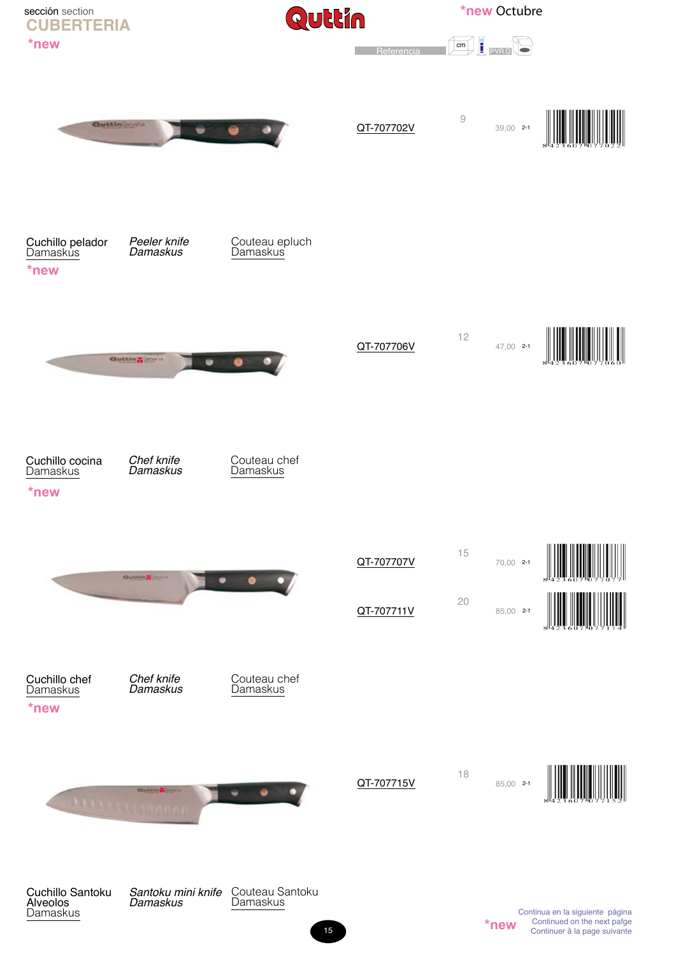

15

**\*new** Continued on the next parge<br>Continuer â la page suivante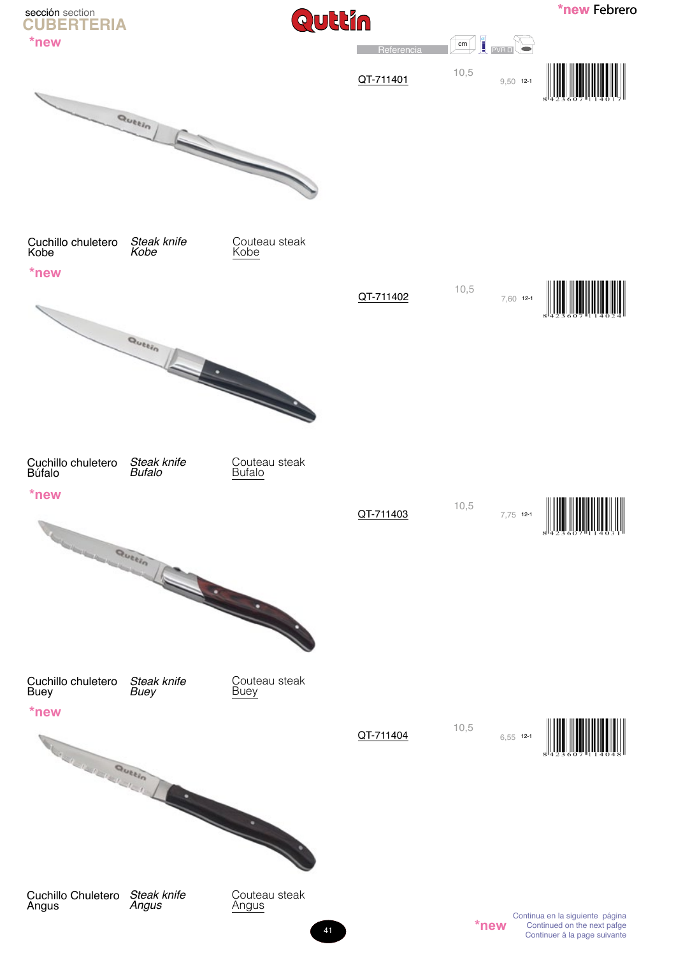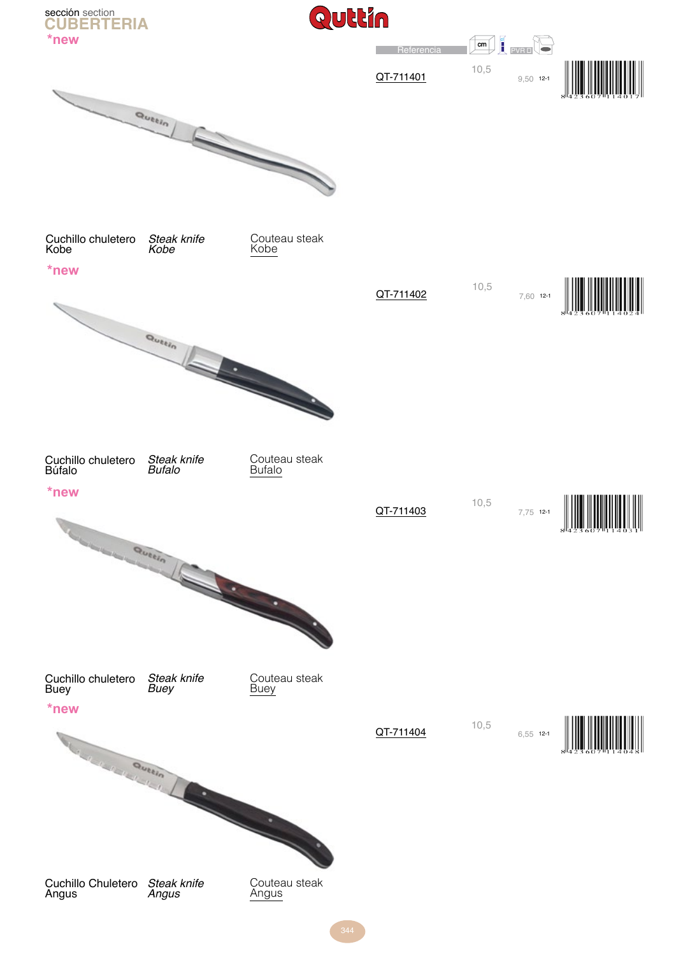